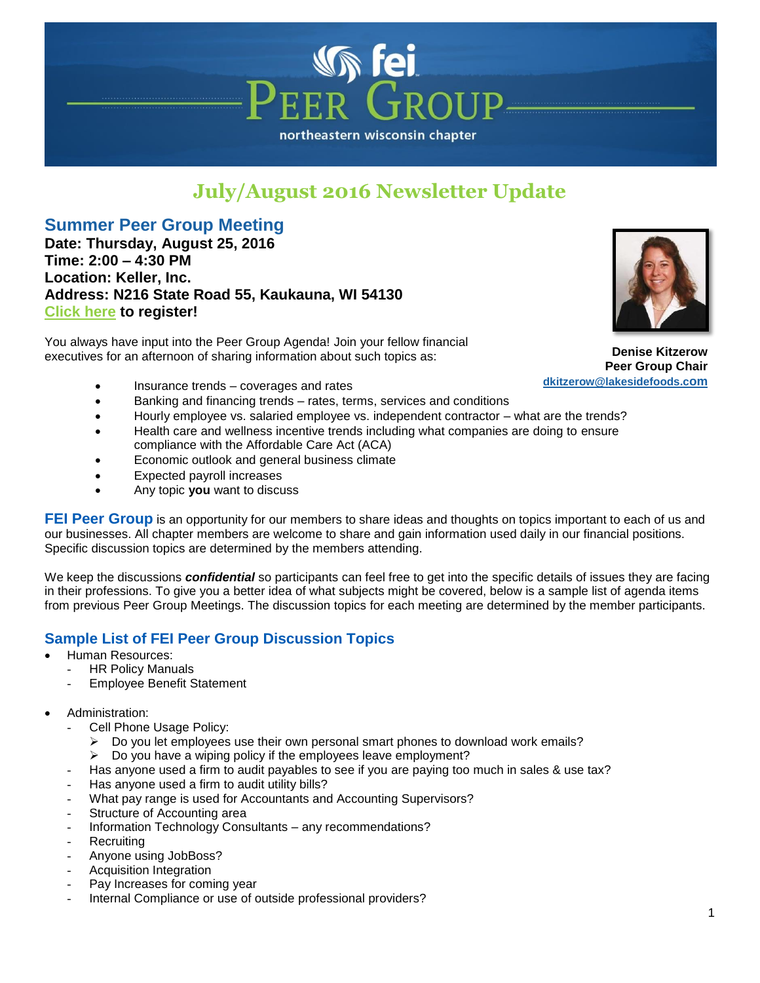# northeastern wisconsin chapter

# **July/August 2016 Newsletter Update**

 $\sqrt{r}$ 

## **Summer Peer Group Meeting**

**Date: Thursday, August 25, 2016 Time: 2:00 – 4:30 PM Location: Keller, Inc. Address: N216 State Road 55, Kaukauna, WI 54130 [Click here](http://events.constantcontact.com/register/event?llr=rxhnt6dab&oeidk=a07ecqs80aa46f49ded) to register!**

You always have input into the Peer Group Agenda! Join your fellow financial executives for an afternoon of sharing information about such topics as:



**Denise Kitzerow Peer Group Chair [dkitzerow@lakesidefoods.c](mailto:dkitzerow@lakesidefoods.com)om**

- Insurance trends coverages and rates
- Banking and financing trends rates, terms, services and conditions
- Hourly employee vs. salaried employee vs. independent contractor what are the trends?
- Health care and wellness incentive trends including what companies are doing to ensure compliance with the Affordable Care Act (ACA)
- Economic outlook and general business climate
- Expected payroll increases
- Any topic **you** want to discuss

**FEI Peer Group** is an opportunity for our members to share ideas and thoughts on topics important to each of us and our businesses. All chapter members are welcome to share and gain information used daily in our financial positions. Specific discussion topics are determined by the members attending.

We keep the discussions *confidential* so participants can feel free to get into the specific details of issues they are facing in their professions. To give you a better idea of what subjects might be covered, below is a sample list of agenda items from previous Peer Group Meetings. The discussion topics for each meeting are determined by the member participants.

#### **Sample List of FEI Peer Group Discussion Topics**

- Human Resources:
	- **HR Policy Manuals**
	- **Employee Benefit Statement**
- Administration:
	- Cell Phone Usage Policy:
		- $\triangleright$  Do you let employees use their own personal smart phones to download work emails?
		- $\triangleright$  Do you have a wiping policy if the employees leave employment?
	- Has anyone used a firm to audit payables to see if you are paying too much in sales & use tax?
	- Has anyone used a firm to audit utility bills?
	- What pay range is used for Accountants and Accounting Supervisors?
	- Structure of Accounting area
	- Information Technology Consultants any recommendations?
	- **Recruiting**
	- Anyone using JobBoss?
	- Acquisition Integration
	- Pay Increases for coming year
	- Internal Compliance or use of outside professional providers?